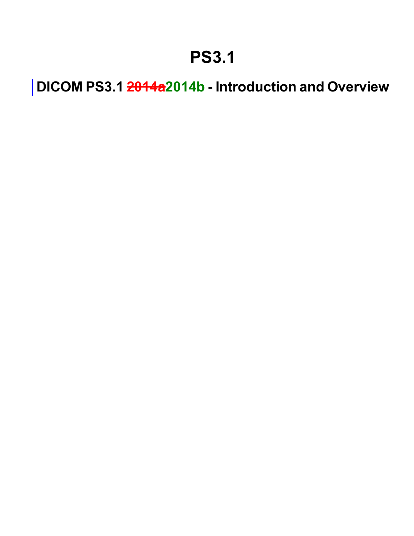### **PS3.1**

**DICOM PS3.1 2014a2014b - Introduction and Overview**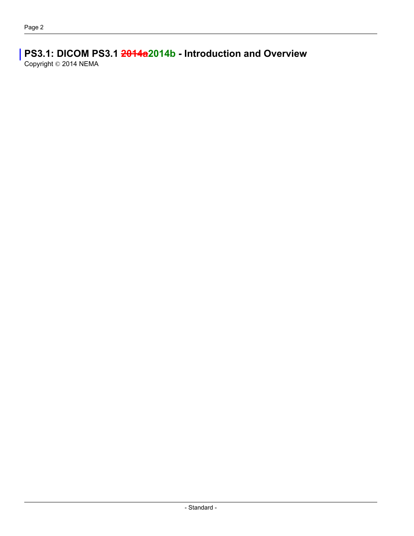### **PS3.1: DICOM PS3.1 2014a2014b - Introduction and Overview**

Copyright © 2014 NEMA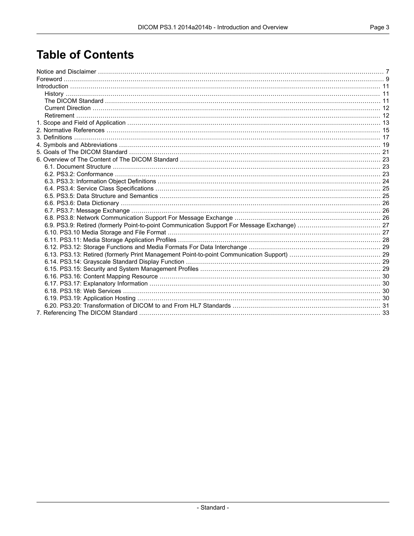### **Table of Contents**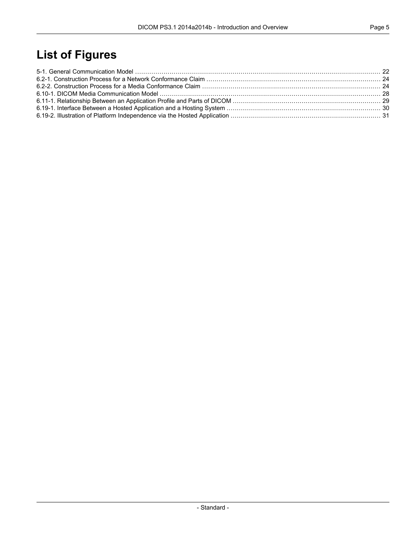### **List of Figures**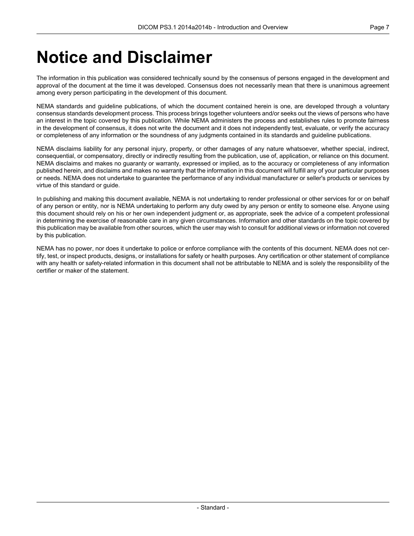### <span id="page-6-0"></span>**Notice and Disclaimer**

The information in this publication was considered technically sound by the consensus of persons engaged in the development and approval of the document at the time it was developed. Consensus does not necessarily mean that there is unanimous agreement among every person participating in the development of this document.

NEMA standards and guideline publications, of which the document contained herein is one, are developed through a voluntary consensus standards development process. This process brings together volunteers and/or seeks out the views of persons who have an interest in the topic covered by this publication. While NEMA administers the process and establishes rules to promote fairness in the development of consensus, it does not write the document and it does not independently test, evaluate, or verify the accuracy or completeness of any information or the soundness of any judgments contained in its standards and guideline publications.

NEMA disclaims liability for any personal injury, property, or other damages of any nature whatsoever, whether special, indirect, consequential, or compensatory, directly or indirectly resulting from the publication, use of, application, or reliance on this document. NEMA disclaims and makes no guaranty or warranty, expressed or implied, as to the accuracy or completeness of any information published herein, and disclaims and makes no warranty that the information in this document will fulfill any of your particular purposes or needs. NEMA does not undertake to guarantee the performance of any individual manufacturer or seller's products or services by virtue of this standard or guide.

In publishing and making this document available, NEMA is not undertaking to render professional or other services for or on behalf of any person or entity, nor is NEMA undertaking to perform any duty owed by any person or entity to someone else. Anyone using this document should rely on his or her own independent judgment or, as appropriate, seek the advice of a competent professional in determining the exercise of reasonable care in any given circumstances. Information and other standards on the topic covered by this publication may be available from other sources, which the user may wish to consult for additional views or information not covered by this publication.

NEMA has no power, nor does it undertake to police or enforce compliance with the contents of this document. NEMA does not certify, test, or inspect products, designs, or installations for safety or health purposes. Any certification or other statement of compliance with any health or safety-related information in this document shall not be attributable to NEMA and is solely the responsibility of the certifier or maker of the statement.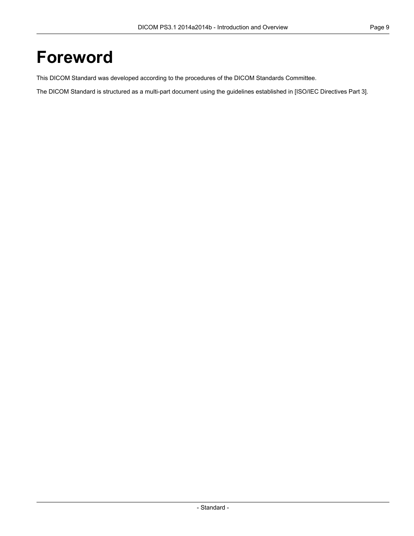### <span id="page-8-0"></span>**Foreword**

This DICOM Standard was developed according to the procedures of the DICOM Standards Committee.

The DICOM Standard is structured as a multi-part document using the guidelines established in [ISO/IEC [Directives](#page-14-1) Part 3].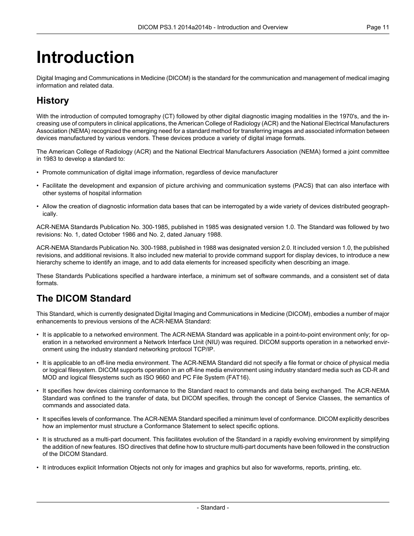# <span id="page-10-0"></span>**Introduction**

<span id="page-10-1"></span>Digital Imaging and Communications in Medicine (DICOM) is the standard for the communication and management of medical imaging information and related data.

### **History**

With the introduction of computed tomography (CT) followed by other digital diagnostic imaging modalities in the 1970's, and the increasing use of computers in clinical applications, the American College of Radiology (ACR) and the National Electrical Manufacturers Association (NEMA) recognized the emerging need for a standard method for transferring images and associated information between devices manufactured by various vendors. These devices produce a variety of digital image formats.

The American College of Radiology (ACR) and the National Electrical Manufacturers Association (NEMA) formed a joint committee in 1983 to develop a standard to:

- Promote communication of digital image information, regardless of device manufacturer
- Facilitate the development and expansion of picture archiving and communication systems (PACS) that can also interface with other systems of hospital information
- Allow the creation of diagnostic information data bases that can be interrogated by a wide variety of devices distributed geographically.

ACR-NEMA Standards Publication No. 300-1985, published in 1985 was designated version 1.0. The Standard was followed by two revisions: No. 1, dated October 1986 and No. 2, dated January 1988.

<span id="page-10-2"></span>ACR-NEMA Standards Publication No. 300-1988, published in 1988 was designated version 2.0. It included version 1.0, the published revisions, and additional revisions. It also included new material to provide command support for display devices, to introduce a new hierarchy scheme to identify an image, and to add data elements for increased specificity when describing an image.

These Standards Publications specified a hardware interface, a minimum set of software commands, and a consistent set of data formats.

#### **The DICOM Standard**

This Standard, which is currently designated Digital Imaging and Communications in Medicine (DICOM), embodies a number of major enhancements to previous versions of the ACR-NEMA Standard:

- It is applicable to a networked environment. The ACR-NEMA Standard was applicable in a point-to-point environment only; for operation in a networked environment a Network Interface Unit (NIU) was required. DICOM supports operation in a networked environment using the industry standard networking protocol TCP/IP.
- It is applicable to an off-line media environment. The ACR-NEMA Standard did not specify a file format or choice of physical media or logical filesystem. DICOM supports operation in an off-line media environment using industry standard media such as CD-R and MOD and logical filesystems such as ISO 9660 and PC File System (FAT16).
- It specifies how devices claiming conformance to the Standard react to commands and data being exchanged. The ACR-NEMA Standard was confined to the transfer of data, but DICOM specifies, through the concept of Service Classes, the semantics of commands and associated data.
- It specifies levels of conformance. The ACR-NEMA Standard specified a minimum level of conformance. DICOM explicitly describes how an implementor must structure a Conformance Statement to select specific options.
- It is structured as a multi-part document. This facilitates evolution of the Standard in a rapidly evolving environment by simplifying the addition of new features. ISO directives that define how to structure multi-part documents have been followed in the construction of the DICOM Standard.
- It introduces explicit Information Objects not only for images and graphics but also for waveforms, reports, printing, etc.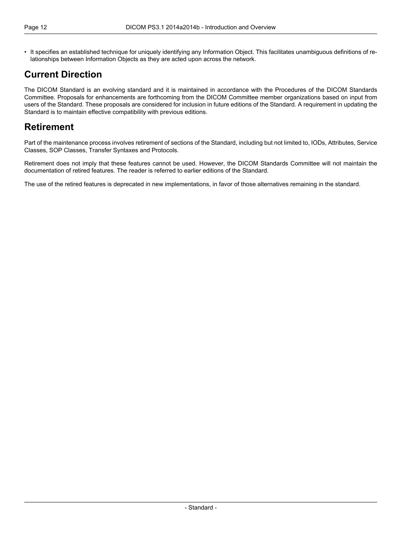• It specifies an established technique for uniquely identifying any Information Object. This facilitates unambiguous definitions of relationships between Information Objects as they are acted upon across the network.

### <span id="page-11-0"></span>**Current Direction**

<span id="page-11-1"></span>The DICOM Standard is an evolving standard and it is maintained in accordance with the Procedures of the DICOM Standards Committee. Proposals for enhancements are forthcoming from the DICOM Committee member organizations based on input from users of the Standard. These proposals are considered for inclusion in future editions of the Standard. A requirement in updating the Standard is to maintain effective compatibility with previous editions.

#### **Retirement**

Part of the maintenance process involves retirement of sections of the Standard, including but not limited to, IODs, Attributes, Service Classes, SOP Classes, Transfer Syntaxes and Protocols.

Retirement does not imply that these features cannot be used. However, the DICOM Standards Committee will not maintain the documentation of retired features. The reader is referred to earlier editions of the Standard.

The use of the retired features is deprecated in new implementations, in favor of those alternatives remaining in the standard.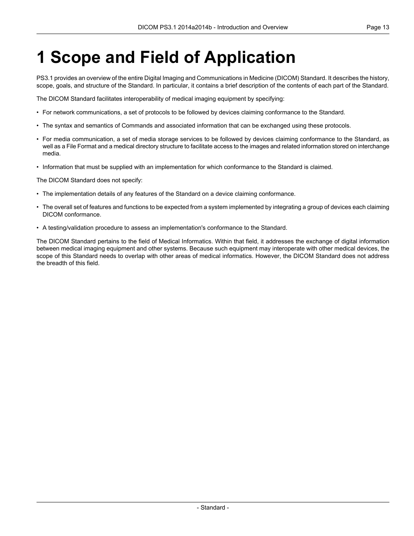# <span id="page-12-0"></span>**1 Scope and Field of Application**

PS3.1 provides an overview of the entire Digital Imaging and Communications in Medicine (DICOM) Standard. It describes the history, scope, goals, and structure of the Standard. In particular, it contains a brief description of the contents of each part of the Standard.

The DICOM Standard facilitates interoperability of medical imaging equipment by specifying:

- For network communications, a set of protocols to be followed by devices claiming conformance to the Standard.
- The syntax and semantics of Commands and associated information that can be exchanged using these protocols.
- For media communication, a set of media storage services to be followed by devices claiming conformance to the Standard, as well as a File Format and a medical directory structure to facilitate access to the images and related information stored on interchange media.
- Information that must be supplied with an implementation for which conformance to the Standard is claimed.

The DICOM Standard does not specify:

- The implementation details of any features of the Standard on a device claiming conformance.
- The overall set of features and functions to be expected from a system implemented by integrating a group of devices each claiming DICOM conformance.
- A testing/validation procedure to assess an implementation's conformance to the Standard.

The DICOM Standard pertains to the field of Medical Informatics. Within that field, it addresses the exchange of digital information between medical imaging equipment and other systems. Because such equipment may interoperate with other medical devices, the scope of this Standard needs to overlap with other areas of medical informatics. However, the DICOM Standard does not address the breadth of this field.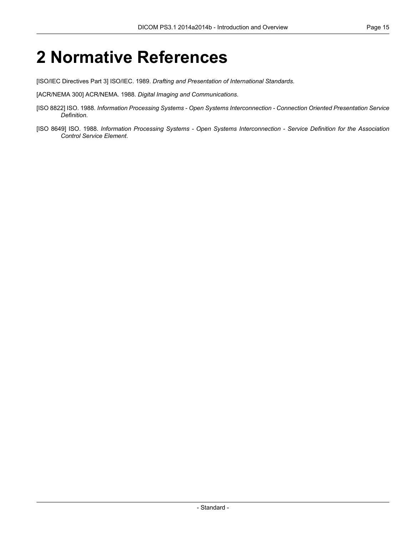### <span id="page-14-0"></span>**2 Normative References**

<span id="page-14-1"></span>[ISO/IEC Directives Part 3] ISO/IEC. 1989. *Drafting and Presentation of International Standards*.

[ACR/NEMA 300] ACR/NEMA. 1988. *Digital Imaging and Communications*.

- [ISO 8822] ISO. 1988. *Information Processing Systems - Open Systems Interconnection - Connection Oriented Presentation Service Definition*.
- [ISO 8649] ISO. 1988. *Information Processing Systems - Open Systems Interconnection - Service Definition for the Association Control Service Element*.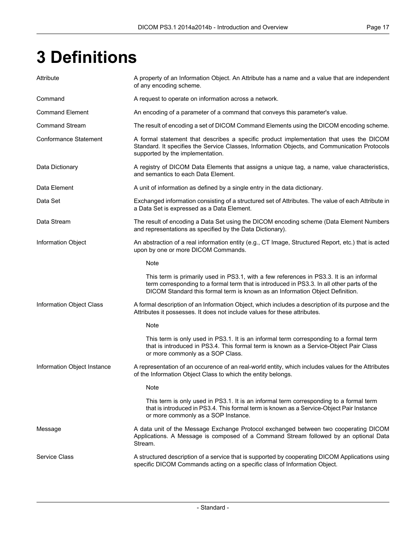# <span id="page-16-0"></span>**3 Definitions**

| Attribute                    | A property of an Information Object. An Attribute has a name and a value that are independent<br>of any encoding scheme.                                                                                                                                               |
|------------------------------|------------------------------------------------------------------------------------------------------------------------------------------------------------------------------------------------------------------------------------------------------------------------|
| Command                      | A request to operate on information across a network.                                                                                                                                                                                                                  |
| <b>Command Element</b>       | An encoding of a parameter of a command that conveys this parameter's value.                                                                                                                                                                                           |
| <b>Command Stream</b>        | The result of encoding a set of DICOM Command Elements using the DICOM encoding scheme.                                                                                                                                                                                |
| <b>Conformance Statement</b> | A formal statement that describes a specific product implementation that uses the DICOM<br>Standard. It specifies the Service Classes, Information Objects, and Communication Protocols<br>supported by the implementation.                                            |
| Data Dictionary              | A registry of DICOM Data Elements that assigns a unique tag, a name, value characteristics,<br>and semantics to each Data Element.                                                                                                                                     |
| Data Element                 | A unit of information as defined by a single entry in the data dictionary.                                                                                                                                                                                             |
| Data Set                     | Exchanged information consisting of a structured set of Attributes. The value of each Attribute in<br>a Data Set is expressed as a Data Element.                                                                                                                       |
| Data Stream                  | The result of encoding a Data Set using the DICOM encoding scheme (Data Element Numbers<br>and representations as specified by the Data Dictionary).                                                                                                                   |
| Information Object           | An abstraction of a real information entity (e.g., CT Image, Structured Report, etc.) that is acted<br>upon by one or more DICOM Commands.                                                                                                                             |
|                              | Note                                                                                                                                                                                                                                                                   |
|                              | This term is primarily used in PS3.1, with a few references in PS3.3. It is an informal<br>term corresponding to a formal term that is introduced in PS3.3. In all other parts of the<br>DICOM Standard this formal term is known as an Information Object Definition. |
| Information Object Class     | A formal description of an Information Object, which includes a description of its purpose and the<br>Attributes it possesses. It does not include values for these attributes.                                                                                        |
|                              | Note                                                                                                                                                                                                                                                                   |
|                              | This term is only used in PS3.1. It is an informal term corresponding to a formal term<br>that is introduced in PS3.4. This formal term is known as a Service-Object Pair Class<br>or more commonly as a SOP Class.                                                    |
| Information Object Instance  | A representation of an occurence of an real-world entity, which includes values for the Attributes<br>of the Information Object Class to which the entity belongs.                                                                                                     |
|                              | Note                                                                                                                                                                                                                                                                   |
|                              | This term is only used in PS3.1. It is an informal term corresponding to a formal term<br>that is introduced in PS3.4. This formal term is known as a Service-Object Pair Instance<br>or more commonly as a SOP Instance.                                              |
| Message                      | A data unit of the Message Exchange Protocol exchanged between two cooperating DICOM<br>Applications. A Message is composed of a Command Stream followed by an optional Data<br>Stream.                                                                                |
| <b>Service Class</b>         | A structured description of a service that is supported by cooperating DICOM Applications using<br>specific DICOM Commands acting on a specific class of Information Object.                                                                                           |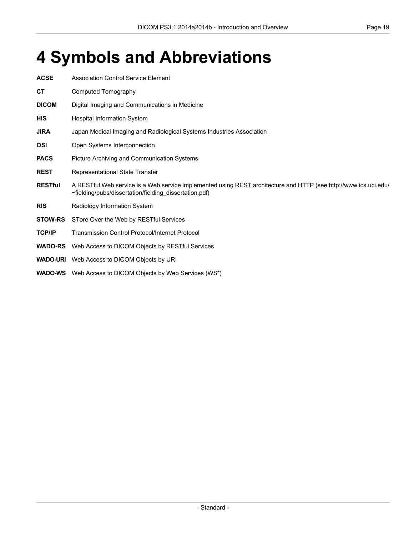## <span id="page-18-0"></span>**4 Symbols and Abbreviations**

| <b>ACSE</b>    | Association Control Service Element                                                                                                                                        |
|----------------|----------------------------------------------------------------------------------------------------------------------------------------------------------------------------|
| <b>CT</b>      | Computed Tomography                                                                                                                                                        |
| <b>DICOM</b>   | Digital Imaging and Communications in Medicine                                                                                                                             |
| <b>HIS</b>     | <b>Hospital Information System</b>                                                                                                                                         |
| <b>JIRA</b>    | Japan Medical Imaging and Radiological Systems Industries Association                                                                                                      |
| <b>OSI</b>     | Open Systems Interconnection                                                                                                                                               |
| <b>PACS</b>    | Picture Archiving and Communication Systems                                                                                                                                |
| <b>REST</b>    | Representational State Transfer                                                                                                                                            |
| <b>RESTful</b> | A RESTful Web service is a Web service implemented using REST architecture and HTTP (see http://www.ics.uci.edu/<br>~fielding/pubs/dissertation/fielding_dissertation.pdf) |
| <b>RIS</b>     | Radiology Information System                                                                                                                                               |
| <b>STOW-RS</b> | STore Over the Web by RESTful Services                                                                                                                                     |
| <b>TCP/IP</b>  | <b>Transmission Control Protocol/Internet Protocol</b>                                                                                                                     |
| <b>WADO-RS</b> | Web Access to DICOM Objects by RESTful Services                                                                                                                            |
|                | <b>WADO-URI</b> Web Access to DICOM Objects by URI                                                                                                                         |
|                | <b>WADO-WS</b> Web Access to DICOM Objects by Web Services (WS*)                                                                                                           |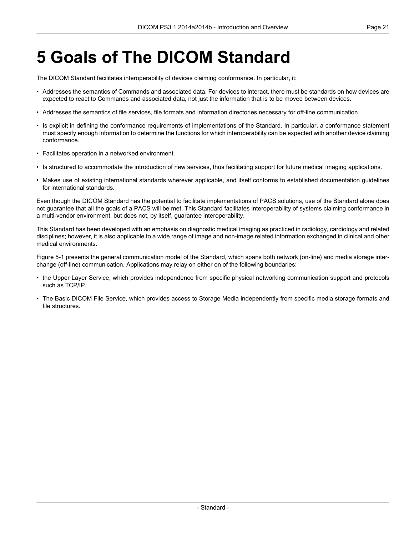# <span id="page-20-0"></span>**5 Goals of The DICOM Standard**

The DICOM Standard facilitates interoperability of devices claiming conformance. In particular, it:

- Addresses the semantics of Commands and associated data. For devices to interact, there must be standards on how devices are expected to react to Commands and associated data, not just the information that is to be moved between devices.
- Addresses the semantics of file services, file formats and information directories necessary for off-line communication.
- Is explicit in defining the conformance requirements of implementations of the Standard. In particular, a conformance statement must specify enough information to determine the functions for which interoperability can be expected with another device claiming conformance.
- Facilitates operation in a networked environment.
- Is structured to accommodate the introduction of new services, thus facilitating support for future medical imaging applications.
- Makes use of existing international standards wherever applicable, and itself conforms to established documentation guidelines for international standards.

Even though the DICOM Standard has the potential to facilitate implementations of PACS solutions, use of the Standard alone does not guarantee that all the goals of a PACS will be met. This Standard facilitates interoperability of systems claiming conformance in a multi-vendor environment, but does not, by itself, guarantee interoperability.

This Standard has been developed with an emphasis on diagnostic medical imaging as practiced in radiology, cardiology and related disciplines; however, it is also applicable to a wide range of image and non-image related information exchanged in clinical and other medical environments.

[Figure](#page-21-0) 5-1 presents the general communication model of the Standard, which spans both network (on-line) and media storage interchange (off-line) communication. Applications may relay on either on of the following boundaries:

- the Upper Layer Service, which provides independence from specific physical networking communication support and protocols such as TCP/IP.
- The Basic DICOM File Service, which provides access to Storage Media independently from specific media storage formats and file structures.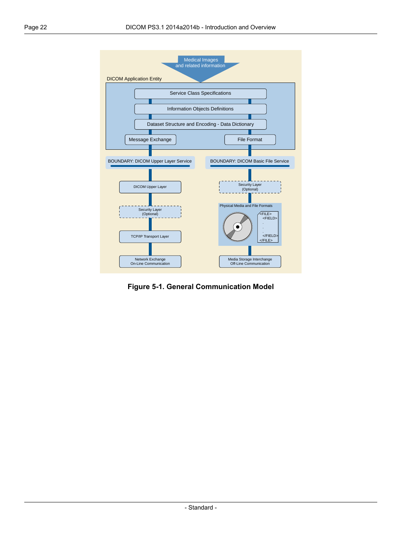<span id="page-21-0"></span>

**Figure 5-1. General Communication Model**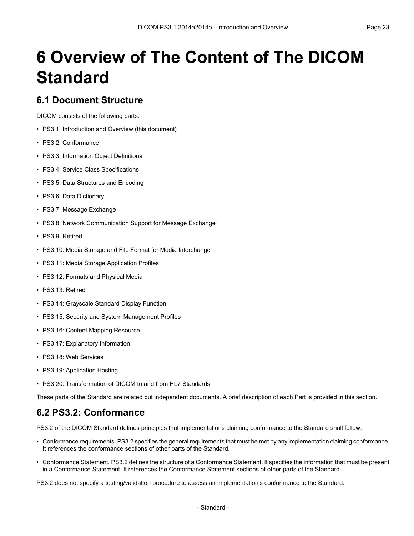# <span id="page-22-0"></span>**6 Overview of The Content of The DICOM Standard**

#### <span id="page-22-1"></span>**6.1 Document Structure**

DICOM consists of the following parts:

- PS3.1: Introduction and Overview (this document)
- PS3.2: [Conformance](part02.pdf#PS3.2)
- PS3.3: [Information](part03.pdf#PS3.3) Object Definitions
- PS3.4: Service Class [Specifications](part04.pdf#PS3.4)
- PS3.5: Data [Structures](part05.pdf#PS3.5) and Encoding
- PS3.6: Data [Dictionary](part06.pdf#PS3.6)
- PS3.7: Message [Exchange](part07.pdf#PS3.7)
- PS3.8: Network [Communication](part08.pdf#PS3.8) Support for Message Exchange
- PS3.9: Retired
- PS3.10: Media Storage and File Format for Media [Interchange](part10.pdf#PS3.10)
- PS3.11: Media Storage [Application](part11.pdf#PS3.11) Profiles
- PS3.12: Formats and [Physical](part12.pdf#PS3.12) Media
- PS3.13: Retired
- PS3.14: [Grayscale](part14.pdf#PS3.14) Standard Display Function
- PS3.15: Security and System [Management](part15.pdf#PS3.15) Profiles
- PS3.16: Content Mapping [Resource](part16.pdf#PS3.16)
- PS3.17: [Explanatory](part17.pdf#PS3.17) Information
- PS3.18: Web [Services](part18.pdf#PS3.18)
- <span id="page-22-2"></span>• PS3.19: [Application](part19.pdf#PS3.19) Hosting
- PS3.20: [Transformation](part20.pdf#PS3.20) of DICOM to and from HL7 Standards

These parts of the Standard are related but independent documents. A brief description of each Part is provided in this section.

#### **6.2 PS3.2: Conformance**

[PS3.2](part02.pdf#PS3.2) of the DICOM Standard defines principles that implementations claiming conformance to the Standard shall follow:

- Conformance requirements. [PS3.2](part02.pdf#PS3.2) specifies the general requirements that must be met by any implementation claiming conformance. It references the conformance sections of other parts of the Standard.
- Conformance Statement. [PS3.2](part02.pdf#PS3.2) defines the structure of a Conformance Statement. It specifies the information that must be present in a Conformance Statement. It references the Conformance Statement sections of other parts of the Standard.

[PS3.2](part02.pdf#PS3.2) does not specify a testing/validation procedure to assess an implementation's conformance to the Standard.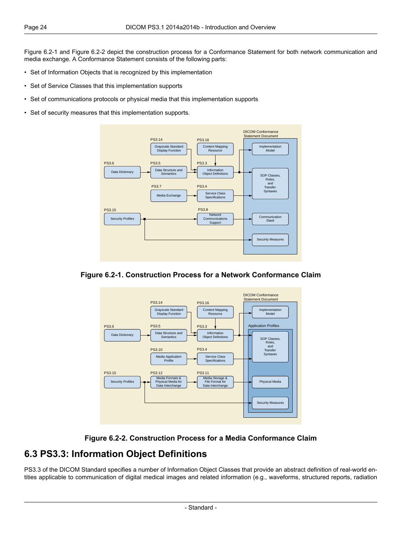[Figure](#page-23-1) 6.2-1 and [Figure](#page-23-2) 6.2-2 depict the construction process for a Conformance Statement for both network communication and media exchange. A Conformance Statement consists of the following parts:

- Set of Information Objects that is recognized by this implementation
- Set of Service Classes that this implementation supports
- Set of communications protocols or physical media that this implementation supports
- <span id="page-23-1"></span>• Set of security measures that this implementation supports.



<span id="page-23-2"></span>





#### <span id="page-23-0"></span>**6.3 PS3.3: Information Object Definitions**

[PS3.3](part03.pdf#PS3.3) of the DICOM Standard specifies a number of Information Object Classes that provide an abstract definition of real-world entities applicable to communication of digital medical images and related information (e.g., waveforms, structured reports, radiation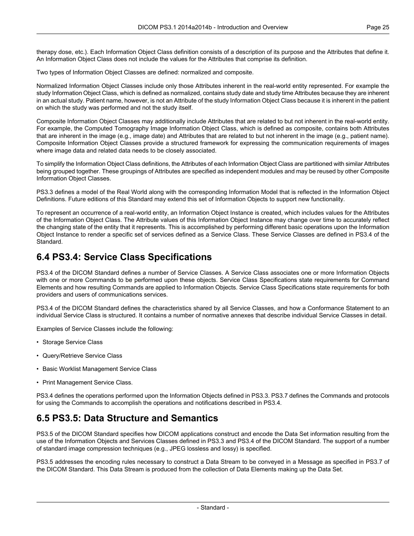therapy dose, etc.). Each Information Object Class definition consists of a description of its purpose and the Attributes that define it. An Information Object Class does not include the values for the Attributes that comprise its definition.

Two types of Information Object Classes are defined: normalized and composite.

Normalized Information Object Classes include only those Attributes inherent in the real-world entity represented. For example the study Information Object Class, which is defined as normalized, contains study date and study time Attributes because they are inherent in an actual study. Patient name, however, is not an Attribute of the study Information Object Class because it is inherent in the patient on which the study was performed and not the study itself.

Composite Information Object Classes may additionally include Attributes that are related to but not inherent in the real-world entity. For example, the Computed Tomography Image Information Object Class, which is defined as composite, contains both Attributes that are inherent in the image (e.g., image date) and Attributes that are related to but not inherent in the image (e.g., patient name). Composite Information Object Classes provide a structured framework for expressing the communication requirements of images where image data and related data needs to be closely associated.

To simplify the Information Object Class definitions, the Attributes of each Information Object Class are partitioned with similar Attributes being grouped together. These groupings of Attributes are specified as independent modules and may be reused by other Composite Information Object Classes.

[PS3.3](part03.pdf#PS3.3) defines a model of the Real World along with the corresponding Information Model that is reflected in the Information Object Definitions. Future editions of this Standard may extend this set of Information Objects to support new functionality.

<span id="page-24-0"></span>To represent an occurrence of a real-world entity, an Information Object Instance is created, which includes values for the Attributes of the Information Object Class. The Attribute values of this Information Object Instance may change over time to accurately reflect the changing state of the entity that it represents. This is accomplished by performing different basic operations upon the Information Object Instance to render a specific set of services defined as a Service Class. These Service Classes are defined in [PS3.4](part04.pdf#PS3.4) of the Standard.

#### **6.4 PS3.4: Service Class Specifications**

[PS3.4](part04.pdf#PS3.4) of the DICOM Standard defines a number of Service Classes. A Service Class associates one or more Information Objects with one or more Commands to be performed upon these objects. Service Class Specifications state requirements for Command Elements and how resulting Commands are applied to Information Objects. Service Class Specifications state requirements for both providers and users of communications services.

[PS3.4](part04.pdf#PS3.4) of the DICOM Standard defines the characteristics shared by all Service Classes, and how a Conformance Statement to an individual Service Class is structured. It contains a number of normative annexes that describe individual Service Classes in detail.

Examples of Service Classes include the following:

- Storage Service Class
- Query/Retrieve Service Class
- <span id="page-24-1"></span>• Basic Worklist Management Service Class
- Print Management Service Class.

[PS3.4](part04.pdf#PS3.4) defines the operations performed upon the Information Objects defined in [PS3.3.](part03.pdf#PS3.3) [PS3.7](part07.pdf#PS3.7) defines the Commands and protocols for using the Commands to accomplish the operations and notifications described in [PS3.4](part04.pdf#PS3.4).

#### **6.5 PS3.5: Data Structure and Semantics**

[PS3.5](part05.pdf#PS3.5) of the DICOM Standard specifies how DICOM applications construct and encode the Data Set information resulting from the use of the Information Objects and Services Classes defined in [PS3.3](part03.pdf#PS3.3) and [PS3.4](part04.pdf#PS3.4) of the DICOM Standard. The support of a number of standard image compression techniques (e.g., JPEG lossless and lossy) is specified.

[PS3.5](part05.pdf#PS3.5) addresses the encoding rules necessary to construct a Data Stream to be conveyed in a Message as specified in [PS3.7](part07.pdf#PS3.7) of the DICOM Standard. This Data Stream is produced from the collection of Data Elements making up the Data Set.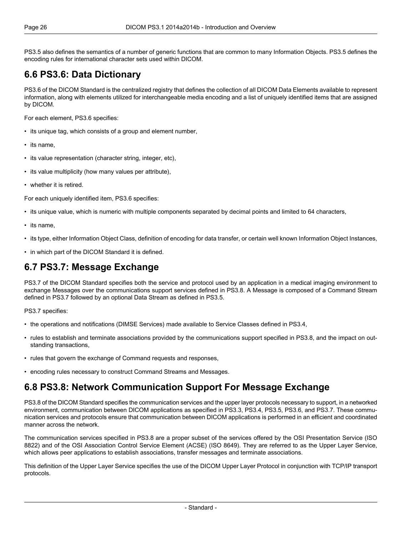<span id="page-25-0"></span>[PS3.5](part05.pdf#PS3.5) also defines the semantics of a number of generic functions that are common to many Information Objects. [PS3.5](part05.pdf#PS3.5) defines the encoding rules for international character sets used within DICOM.

#### **6.6 PS3.6: Data Dictionary**

[PS3.6](part06.pdf#PS3.6) of the DICOM Standard is the centralized registry that defines the collection of all DICOM Data Elements available to represent information, along with elements utilized for interchangeable media encoding and a list of uniquely identified items that are assigned by DICOM.

For each element, [PS3.6](part06.pdf#PS3.6) specifies:

- its unique tag, which consists of a group and element number,
- its name,
- its value representation (character string, integer, etc),
- its value multiplicity (how many values per attribute),
- whether it is retired.

For each uniquely identified item, [PS3.6](part06.pdf#PS3.6) specifies:

- its unique value, which is numeric with multiple components separated by decimal points and limited to 64 characters,
- its name,
- <span id="page-25-1"></span>• its type, either Information Object Class, definition of encoding for data transfer, or certain well known Information Object Instances,
- in which part of the DICOM Standard it is defined.

#### **6.7 PS3.7: Message Exchange**

[PS3.7](part07.pdf#PS3.7) of the DICOM Standard specifies both the service and protocol used by an application in a medical imaging environment to exchange Messages over the communications support services defined in [PS3.8.](part08.pdf#PS3.8) A Message is composed of a Command Stream defined in [PS3.7](part07.pdf#PS3.7) followed by an optional Data Stream as defined in [PS3.5](part05.pdf#PS3.5).

[PS3.7](part07.pdf#PS3.7) specifies:

- the operations and notifications (DIMSE Services) made available to Service Classes defined in [PS3.4,](part04.pdf#PS3.4)
- <span id="page-25-2"></span>• rules to establish and terminate associations provided by the communications support specified in [PS3.8,](part08.pdf#PS3.8) and the impact on outstanding transactions,
- rules that govern the exchange of Command requests and responses,
- encoding rules necessary to construct Command Streams and Messages.

#### **6.8 PS3.8: Network Communication Support For Message Exchange**

[PS3.8](part08.pdf#PS3.8) of the DICOM Standard specifies the communication services and the upper layer protocols necessary to support, in a networked environment, communication between DICOM applications as specified in [PS3.3](part03.pdf#PS3.3), [PS3.4,](part04.pdf#PS3.4) [PS3.5](part05.pdf#PS3.5), [PS3.6,](part06.pdf#PS3.6) and [PS3.7.](part07.pdf#PS3.7) These communication services and protocols ensure that communication between DICOM applications is performed in an efficient and coordinated manner across the network.

The communication services specified in [PS3.8](part08.pdf#PS3.8) are a proper subset of the services offered by the OSI Presentation Service (ISO 8822) and of the OSI Association Control Service Element (ACSE) (ISO 8649). They are referred to as the Upper Layer Service, which allows peer applications to establish associations, transfer messages and terminate associations.

This definition of the Upper Layer Service specifies the use of the DICOM Upper Layer Protocol in conjunction with TCP/IP transport protocols.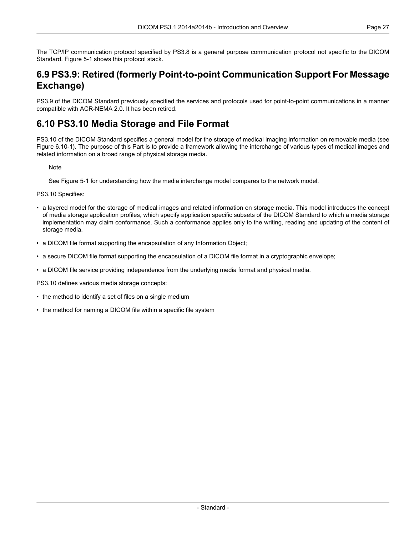<span id="page-26-0"></span>The TCP/IP communication protocol specified by [PS3.8](part08.pdf#PS3.8) is a general purpose communication protocol not specific to the DICOM Standard. [Figure](#page-21-0) 5-1 shows this protocol stack.

#### **6.9 PS3.9: Retired (formerly Point-to-point Communication Support For Message Exchange)**

<span id="page-26-1"></span>PS3.9 of the DICOM Standard previously specified the services and protocols used for point-to-point communications in a manner compatible with ACR-NEMA 2.0. It has been retired.

#### **6.10 PS3.10 Media Storage and File Format**

[PS3.10](part10.pdf#PS3.10) of the DICOM Standard specifies a general model for the storage of medical imaging information on removable media (see Figure [6.10-1\)](#page-27-1). The purpose of this Part is to provide a framework allowing the interchange of various types of medical images and related information on a broad range of physical storage media.

**Note** 

See [Figure](#page-21-0) 5-1 for understanding how the media interchange model compares to the network model.

[PS3.10](part10.pdf#PS3.10) Specifies:

- a layered model for the storage of medical images and related information on storage media. This model introduces the concept of media storage application profiles, which specify application specific subsets of the DICOM Standard to which a media storage implementation may claim conformance. Such a conformance applies only to the writing, reading and updating of the content of storage media.
- a DICOM file format supporting the encapsulation of any Information Object;
- a secure DICOM file format supporting the encapsulation of a DICOM file format in a cryptographic envelope;
- a DICOM file service providing independence from the underlying media format and physical media.

[PS3.10](part10.pdf#PS3.10) defines various media storage concepts:

- the method to identify a set of files on a single medium
- the method for naming a DICOM file within a specific file system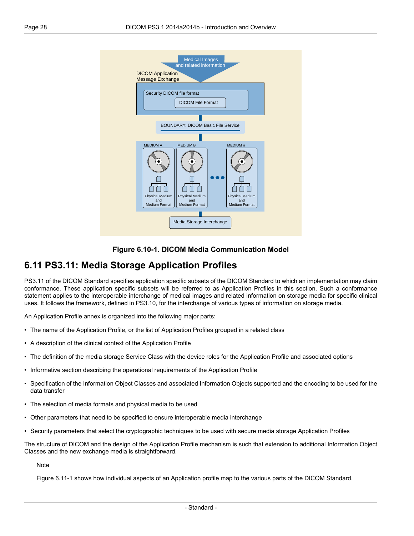<span id="page-27-1"></span>



#### <span id="page-27-0"></span>**6.11 PS3.11: Media Storage Application Profiles**

[PS3.11](part11.pdf#PS3.11) of the DICOM Standard specifies application specific subsets of the DICOM Standard to which an implementation may claim conformance. These application specific subsets will be referred to as Application Profiles in this section. Such a conformance statement applies to the interoperable interchange of medical images and related information on storage media for specific clinical uses. It follows the framework, defined in [PS3.10](part10.pdf#PS3.10), for the interchange of various types of information on storage media.

An Application Profile annex is organized into the following major parts:

- The name of the Application Profile, or the list of Application Profiles grouped in a related class
- A description of the clinical context of the Application Profile
- The definition of the media storage Service Class with the device roles for the Application Profile and associated options
- Informative section describing the operational requirements of the Application Profile
- Specification of the Information Object Classes and associated Information Objects supported and the encoding to be used for the data transfer
- The selection of media formats and physical media to be used
- Other parameters that need to be specified to ensure interoperable media interchange
- Security parameters that select the cryptographic techniques to be used with secure media storage Application Profiles

The structure of DICOM and the design of the Application Profile mechanism is such that extension to additional Information Object Classes and the new exchange media is straightforward.

**Note** 

[Figure](#page-28-4) 6.11-1 shows how individual aspects of an Application profile map to the various parts of the DICOM Standard.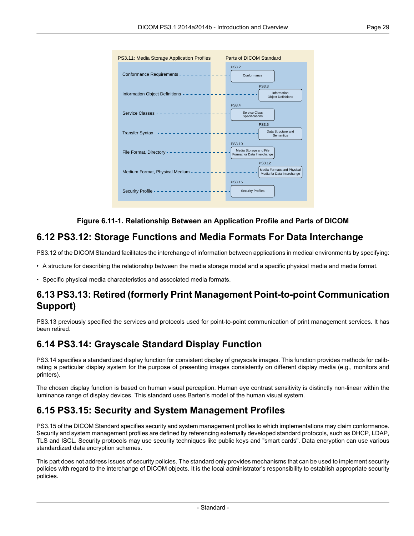<span id="page-28-4"></span>

#### **Figure 6.11-1. Relationship Between an Application Profile and Parts of DICOM**

#### <span id="page-28-0"></span>**6.12 PS3.12: Storage Functions and Media Formats For Data Interchange**

[PS3.12](part12.pdf#PS3.12) of the DICOM Standard facilitates the interchange of information between applications in medical environments by specifying:

<span id="page-28-1"></span>• A structure for describing the relationship between the media storage model and a specific physical media and media format.

• Specific physical media characteristics and associated media formats.

#### <span id="page-28-2"></span>**6.13 PS3.13: Retired (formerly Print Management Point-to-point Communication Support)**

PS3.13 previously specified the services and protocols used for point-to-point communication of print management services. It has been retired.

#### **6.14 PS3.14: Grayscale Standard Display Function**

<span id="page-28-3"></span>[PS3.14](part14.pdf#PS3.14) specifies a standardized display function for consistent display of grayscale images. This function provides methods for calibrating a particular display system for the purpose of presenting images consistently on different display media (e.g., monitors and printers).

The chosen display function is based on human visual perception. Human eye contrast sensitivity is distinctly non-linear within the luminance range of display devices. This standard uses Barten's model of the human visual system.

#### **6.15 PS3.15: Security and System Management Profiles**

[PS3.15](part15.pdf#PS3.15) of the DICOM Standard specifies security and system management profiles to which implementations may claim conformance. Security and system management profiles are defined by referencing externally developed standard protocols, such as DHCP, LDAP, TLS and ISCL. Security protocols may use security techniques like public keys and "smart cards". Data encryption can use various standardized data encryption schemes.

This part does not address issues of security policies. The standard only provides mechanisms that can be used to implement security policies with regard to the interchange of DICOM objects. It is the local administrator's responsibility to establish appropriate security policies.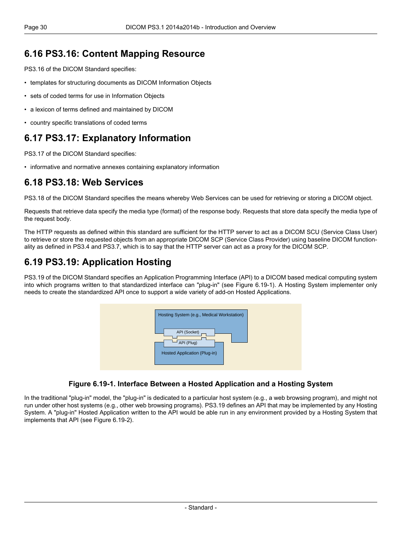#### <span id="page-29-0"></span>**6.16 PS3.16: Content Mapping Resource**

[PS3.16](part16.pdf#PS3.16) of the DICOM Standard specifies:

- templates for structuring documents as DICOM Information Objects
- sets of coded terms for use in Information Objects
- a lexicon of terms defined and maintained by DICOM
- <span id="page-29-1"></span>• country specific translations of coded terms

#### **6.17 PS3.17: Explanatory Information**

<span id="page-29-2"></span>[PS3.17](part17.pdf#PS3.17) of the DICOM Standard specifies:

• informative and normative annexes containing explanatory information

#### **6.18 PS3.18: Web Services**

[PS3.18](part18.pdf#PS3.18) of the DICOM Standard specifies the means whereby Web Services can be used for retrieving or storing a DICOM object.

Requests that retrieve data specify the media type (format) of the response body. Requests that store data specify the media type of the request body.

<span id="page-29-3"></span>The HTTP requests as defined within this standard are sufficient for the HTTP server to act as a DICOM SCU (Service Class User) to retrieve or store the requested objects from an appropriate DICOM SCP (Service Class Provider) using baseline DICOM functionality as defined in [PS3.4](part04.pdf#PS3.4) and [PS3.7,](part07.pdf#PS3.7) which is to say that the HTTP server can act as a proxy for the DICOM SCP.

#### **6.19 PS3.19: Application Hosting**

<span id="page-29-4"></span>[PS3.19](part19.pdf#PS3.19) of the DICOM Standard specifies an Application Programming Interface (API) to a DICOM based medical computing system into which programs written to that standardized interface can "plug-in" (see [Figure](#page-29-4) 6.19-1). A Hosting System implementer only needs to create the standardized API once to support a wide variety of add-on Hosted Applications.



#### **Figure 6.19-1. Interface Between a Hosted Application and a Hosting System**

In the traditional "plug-in" model, the "plug-in" is dedicated to a particular host system (e.g., a web browsing program), and might not run under other host systems (e.g., other web browsing programs). [PS3.19](part19.pdf#PS3.19) defines an API that may be implemented by any Hosting System. A "plug-in" Hosted Application written to the API would be able run in any environment provided by a Hosting System that implements that API (see [Figure](#page-30-1) 6.19-2).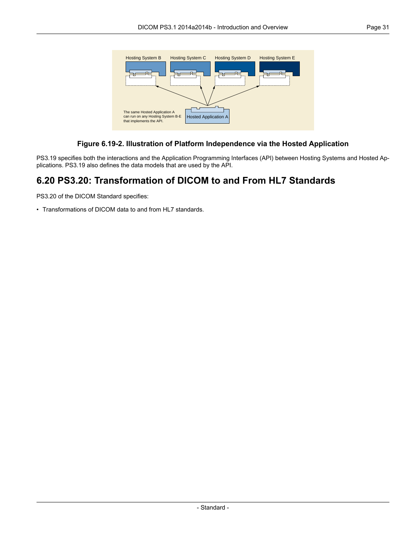<span id="page-30-1"></span>

#### **Figure 6.19-2. Illustration of Platform Independence via the Hosted Application**

<span id="page-30-0"></span>[PS3.19](part19.pdf#PS3.19) specifies both the interactions and the Application Programming Interfaces (API) between Hosting Systems and Hosted Applications. [PS3.19](part19.pdf#PS3.19) also defines the data models that are used by the API.

#### **6.20 PS3.20: Transformation of DICOM to and From HL7 Standards**

[PS3.20](part20.pdf#PS3.20) of the DICOM Standard specifies:

• Transformations of DICOM data to and from HL7 standards.